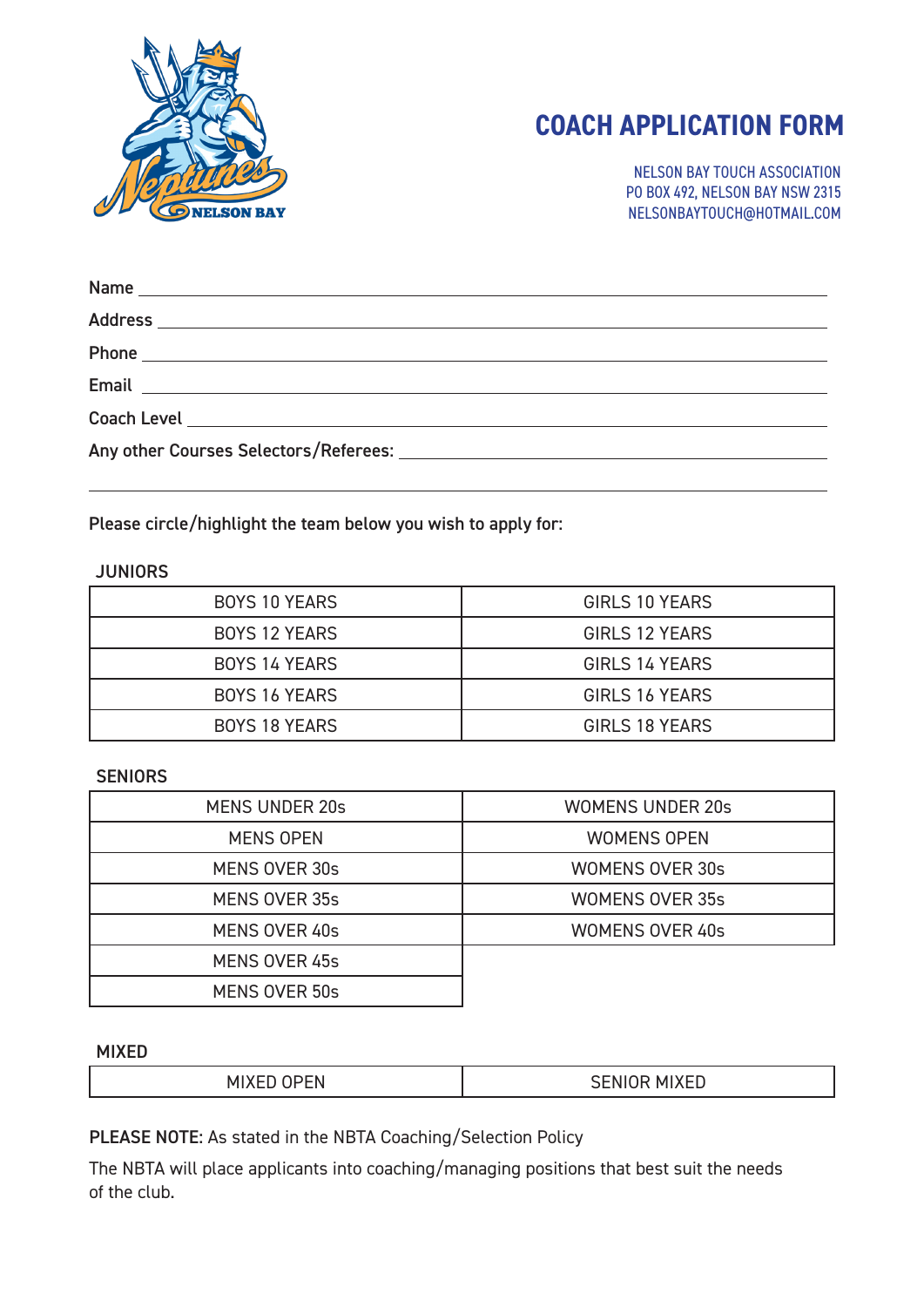

# **COACH APPLICATION FORM**

NELSON BAY TOUCH ASSOCIATION PO BOX 492, NELSON BAY NSW 2315 NELSONBAYTOUCH@HOTMAIL.COM

| Email <u>Communication and Communication and Communication and Communication and Communication and Communication</u> |
|----------------------------------------------------------------------------------------------------------------------|
|                                                                                                                      |
|                                                                                                                      |

Please circle/highlight the team below you wish to apply for:

### **JUNIORS**

| <b>BOYS 10 YEARS</b> | GIRLS 10 YEARS        |
|----------------------|-----------------------|
| <b>BOYS 12 YEARS</b> | GIRLS 12 YEARS        |
| <b>BOYS 14 YEARS</b> | <b>GIRLS 14 YEARS</b> |
| BOYS 16 YEARS        | GIRLS 16 YEARS        |
| BOYS 18 YEARS        | GIRLS 18 YEARS        |

#### **SENIORS**

| MENS UNDER 20s       | <b>WOMENS UNDER 20s</b> |
|----------------------|-------------------------|
| MENS OPEN            | <b>WOMENS OPEN</b>      |
| MENS OVER 30s        | <b>WOMENS OVER 30s</b>  |
| <b>MENS OVER 35s</b> | <b>WOMENS OVER 35s</b>  |
| MENS OVER 40s        | <b>WOMENS OVER 40s</b>  |
| MENS OVER 45s        |                         |
| <b>MENS OVER 50s</b> |                         |

#### MIXED

|--|

PLEASE NOTE: As stated in the NBTA Coaching/Selection Policy

The NBTA will place applicants into coaching/managing positions that best suit the needs of the club.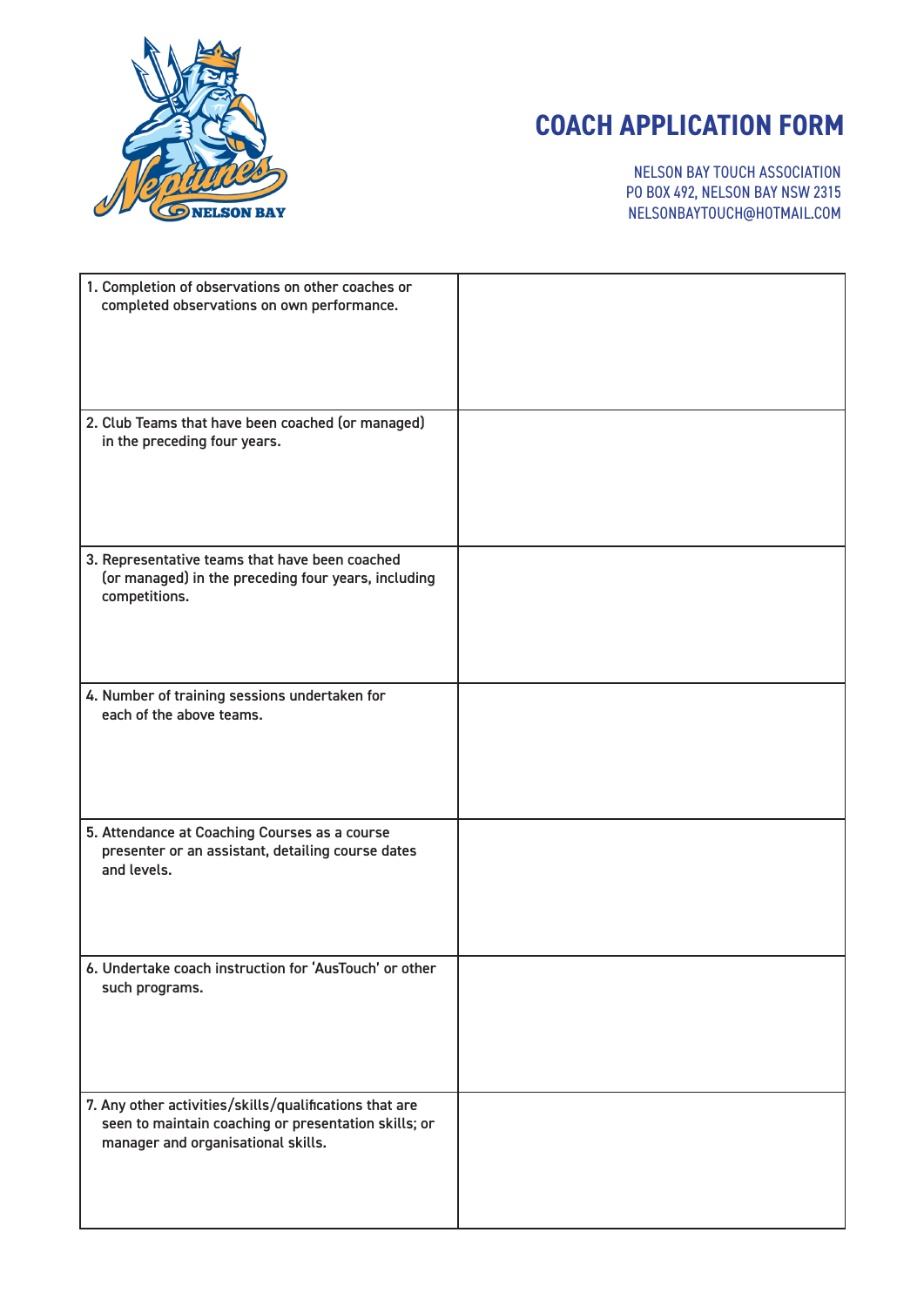

# **COACH APPLICATION FORM**

NELSON BAY TOUCH ASSOCIATION PO BOX 492, NELSON BAY NSW 2315 NELSONBAYTOUCH@HOTMAIL.COM

| 1. Completion of observations on other coaches or<br>completed observations on own performance.                                                      |  |
|------------------------------------------------------------------------------------------------------------------------------------------------------|--|
| 2. Club Teams that have been coached (or managed)<br>in the preceding four years.                                                                    |  |
| 3. Representative teams that have been coached<br>(or managed) in the preceding four years, including<br>competitions.                               |  |
| 4. Number of training sessions undertaken for<br>each of the above teams.                                                                            |  |
| 5. Attendance at Coaching Courses as a course<br>presenter or an assistant, detailing course dates<br>and levels.                                    |  |
| 6. Undertake coach instruction for 'AusTouch' or other<br>such programs.                                                                             |  |
| 7. Any other activities/skills/qualifications that are<br>seen to maintain coaching or presentation skills; or<br>manager and organisational skills. |  |